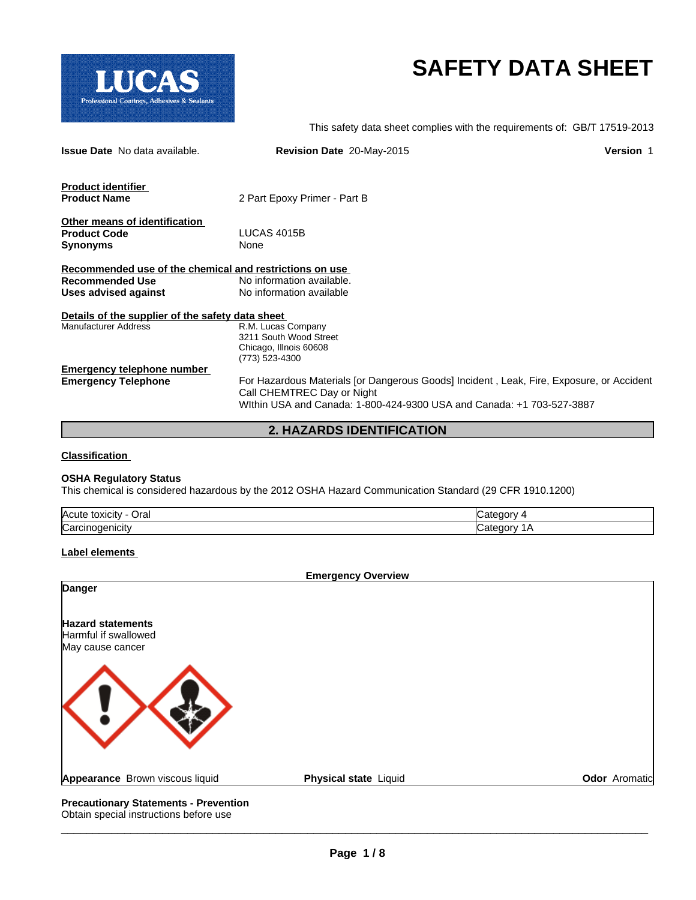

# **SAFETY DATA SHEET**

This safety data sheet complies with the requirements of: GB/T 17519-2013

| <b>Issue Date</b> No data available.                    | Revision Date 20-May-2015                                                                | <b>Version 1</b> |
|---------------------------------------------------------|------------------------------------------------------------------------------------------|------------------|
| <b>Product identifier</b>                               |                                                                                          |                  |
| <b>Product Name</b>                                     | 2 Part Epoxy Primer - Part B                                                             |                  |
| Other means of identification                           |                                                                                          |                  |
| <b>Product Code</b>                                     | LUCAS 4015B                                                                              |                  |
| <b>Synonyms</b>                                         | None                                                                                     |                  |
| Recommended use of the chemical and restrictions on use |                                                                                          |                  |
| <b>Recommended Use</b>                                  | No information available.                                                                |                  |
| Uses advised against                                    | No information available                                                                 |                  |
| Details of the supplier of the safety data sheet        |                                                                                          |                  |
| <b>Manufacturer Address</b>                             | R.M. Lucas Company                                                                       |                  |
|                                                         | 3211 South Wood Street                                                                   |                  |
|                                                         | Chicago, Illnois 60608                                                                   |                  |
|                                                         | (773) 523-4300                                                                           |                  |
| <b>Emergency telephone number</b>                       |                                                                                          |                  |
| <b>Emergency Telephone</b>                              | For Hazardous Materials [or Dangerous Goods] Incident, Leak, Fire, Exposure, or Accident |                  |
|                                                         | Call CHEMTREC Day or Night                                                               |                  |
|                                                         | WIthin USA and Canada: 1-800-424-9300 USA and Canada: +1 703-527-3887                    |                  |
|                                                         |                                                                                          |                  |

**2. HAZARDS IDENTIFICATION**

**Classification** 

#### **OSHA Regulatory Status**

This chemical is considered hazardous by the 2012 OSHA Hazard Communication Standard (29 CFR 1910.1200)

| 'Acute<br>Ora <sub>i</sub><br>toxicity | 10 H |
|----------------------------------------|------|
| $\sim$<br>.<br>'НС<br>اات<br>ີ         | 16 M |

#### **Label elements**

|                                                                      | <b>Emergency Overview</b> |               |
|----------------------------------------------------------------------|---------------------------|---------------|
| <b>Danger</b>                                                        |                           |               |
| <b>Hazard statements</b><br>Harmful if swallowed<br>May cause cancer |                           |               |
|                                                                      |                           |               |
| Appearance Brown viscous liquid                                      | Physical state Liquid     | Odor Aromatic |
| <b>Precautionary Statements - Prevention</b>                         |                           |               |

Obtain special instructions before use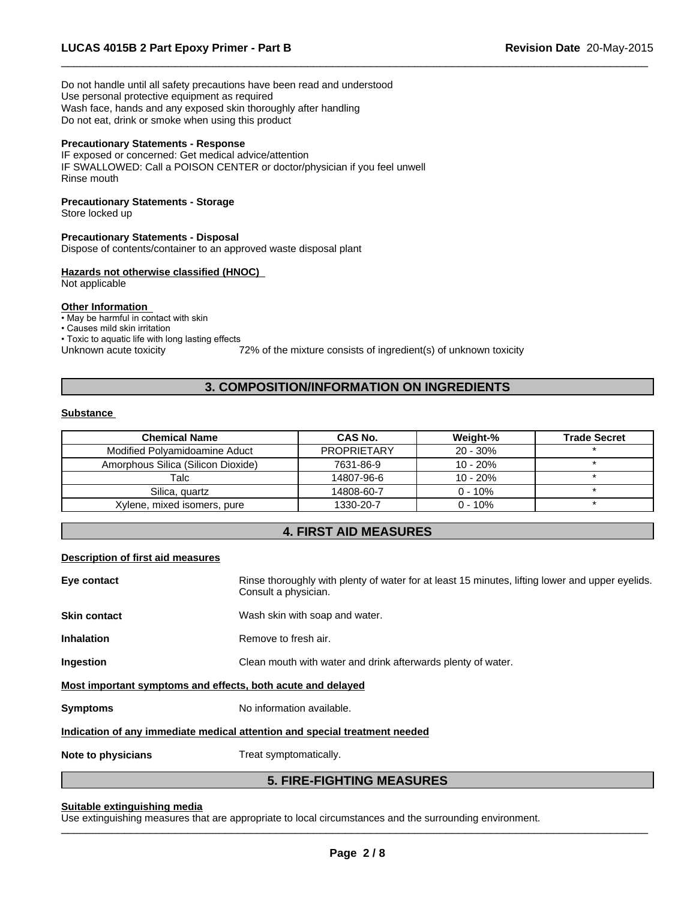Do not handle until all safety precautions have been read and understood Use personal protective equipment as required Wash face, hands and any exposed skin thoroughly after handling Do not eat, drink or smoke when using this product

#### **Precautionary Statements - Response**

IF exposed or concerned: Get medical advice/attention IF SWALLOWED: Call a POISON CENTER or doctor/physician if you feel unwell Rinse mouth

#### **Precautionary Statements - Storage**

Store locked up

#### **Precautionary Statements - Disposal**

Dispose of contents/container to an approved waste disposal plant

#### **Hazards not otherwise classified (HNOC)**

Not applicable

#### **Other Information**

• May be harmful in contact with skin

• Causes mild skin irritation

• Toxic to aquatic life with long lasting effects

Unknown acute toxicity 72% of the mixture consists of ingredient(s) of unknown toxicity

# **3. COMPOSITION/INFORMATION ON INGREDIENTS**

 $\overline{\phantom{a}}$  ,  $\overline{\phantom{a}}$  ,  $\overline{\phantom{a}}$  ,  $\overline{\phantom{a}}$  ,  $\overline{\phantom{a}}$  ,  $\overline{\phantom{a}}$  ,  $\overline{\phantom{a}}$  ,  $\overline{\phantom{a}}$  ,  $\overline{\phantom{a}}$  ,  $\overline{\phantom{a}}$  ,  $\overline{\phantom{a}}$  ,  $\overline{\phantom{a}}$  ,  $\overline{\phantom{a}}$  ,  $\overline{\phantom{a}}$  ,  $\overline{\phantom{a}}$  ,  $\overline{\phantom{a}}$ 

#### **Substance**

| <b>Chemical Name</b>               | CAS No.            | Weight-%    | <b>Trade Secret</b> |
|------------------------------------|--------------------|-------------|---------------------|
| Modified Polyamidoamine Aduct      | <b>PROPRIETARY</b> | $20 - 30\%$ |                     |
| Amorphous Silica (Silicon Dioxide) | 7631-86-9          | $10 - 20%$  |                     |
| Talc                               | 14807-96-6         | $10 - 20%$  |                     |
| Silica, quartz                     | 14808-60-7         | $0 - 10\%$  |                     |
| Xylene, mixed isomers, pure        | 1330-20-7          | $0 - 10%$   |                     |

# **4. FIRST AID MEASURES**

#### **Description of first aid measures**

| Eye contact                                                                | Rinse thoroughly with plenty of water for at least 15 minutes, lifting lower and upper eyelids.<br>Consult a physician. |  |  |  |
|----------------------------------------------------------------------------|-------------------------------------------------------------------------------------------------------------------------|--|--|--|
| Skin contact                                                               | Wash skin with soap and water.                                                                                          |  |  |  |
| <b>Inhalation</b>                                                          | Remove to fresh air.                                                                                                    |  |  |  |
| Ingestion                                                                  | Clean mouth with water and drink afterwards plenty of water.                                                            |  |  |  |
| Most important symptoms and effects, both acute and delayed                |                                                                                                                         |  |  |  |
| Symptoms                                                                   | No information available.                                                                                               |  |  |  |
| Indication of any immediate medical attention and special treatment needed |                                                                                                                         |  |  |  |
| Note to physicians                                                         | Treat symptomatically.                                                                                                  |  |  |  |
|                                                                            |                                                                                                                         |  |  |  |

### **5. FIRE-FIGHTING MEASURES**

#### **Suitable extinguishing media**

Use extinguishing measures that are appropriate to local circumstances and the surrounding environment.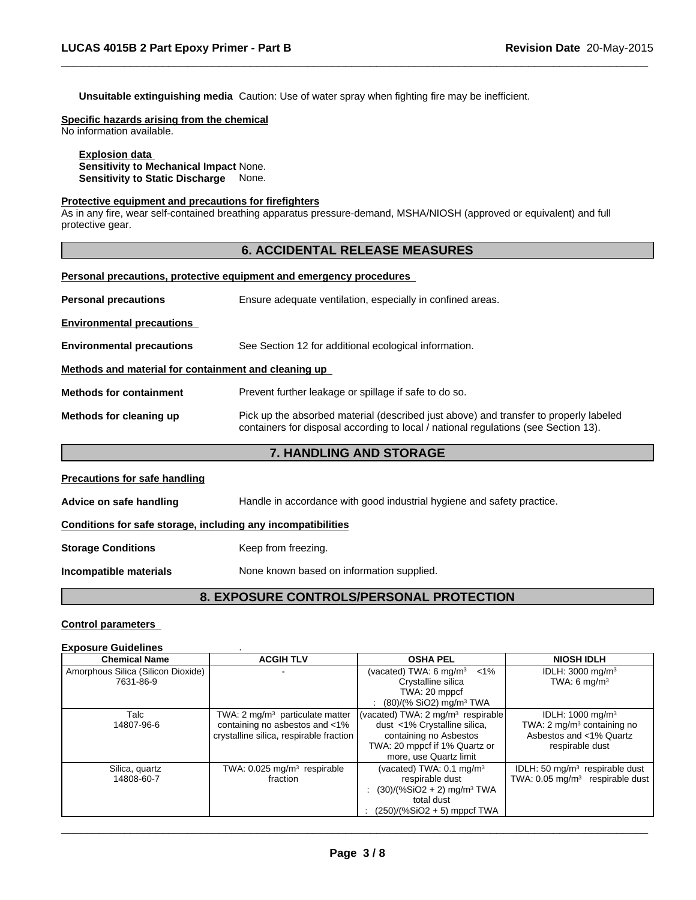**Unsuitable extinguishing media** Caution: Use of water spray when fighting fire may be inefficient.

**Specific hazards arising from the chemical**

No information available.

#### **Explosion data Sensitivity to Mechanical Impact** None. **Sensitivity to Static Discharge** None.

#### **Protective equipment and precautions for firefighters**

As in any fire, wear self-contained breathing apparatus pressure-demand, MSHA/NIOSH (approved or equivalent) and full protective gear.

# **6. ACCIDENTAL RELEASE MEASURES**

 $\overline{\phantom{a}}$  ,  $\overline{\phantom{a}}$  ,  $\overline{\phantom{a}}$  ,  $\overline{\phantom{a}}$  ,  $\overline{\phantom{a}}$  ,  $\overline{\phantom{a}}$  ,  $\overline{\phantom{a}}$  ,  $\overline{\phantom{a}}$  ,  $\overline{\phantom{a}}$  ,  $\overline{\phantom{a}}$  ,  $\overline{\phantom{a}}$  ,  $\overline{\phantom{a}}$  ,  $\overline{\phantom{a}}$  ,  $\overline{\phantom{a}}$  ,  $\overline{\phantom{a}}$  ,  $\overline{\phantom{a}}$ 

#### **Personal precautions, protective equipment and emergency procedures**

| <b>Personal precautions</b>                                                               | Ensure adequate ventilation, especially in confined areas.                                                                                                                   |  |  |
|-------------------------------------------------------------------------------------------|------------------------------------------------------------------------------------------------------------------------------------------------------------------------------|--|--|
| <b>Environmental precautions</b>                                                          |                                                                                                                                                                              |  |  |
| See Section 12 for additional ecological information.<br><b>Environmental precautions</b> |                                                                                                                                                                              |  |  |
| Methods and material for containment and cleaning up                                      |                                                                                                                                                                              |  |  |
| <b>Methods for containment</b>                                                            | Prevent further leakage or spillage if safe to do so.                                                                                                                        |  |  |
| Methods for cleaning up                                                                   | Pick up the absorbed material (described just above) and transfer to properly labeled<br>containers for disposal according to local / national regulations (see Section 13). |  |  |

# **7. HANDLING AND STORAGE**

| <b>Precautions for safe handling</b>                         |                                                                        |  |  |
|--------------------------------------------------------------|------------------------------------------------------------------------|--|--|
| Advice on safe handling                                      | Handle in accordance with good industrial hygiene and safety practice. |  |  |
| Conditions for safe storage, including any incompatibilities |                                                                        |  |  |
| <b>Storage Conditions</b>                                    | Keep from freezing.                                                    |  |  |
| Incompatible materials                                       | None known based on information supplied.                              |  |  |

# **8. EXPOSURE CONTROLS/PERSONAL PROTECTION**

#### **Control parameters**

#### **Exposure Guidelines** .

| <b>Chemical Name</b>                            | <b>ACGIH TLV</b>                                                                                                        | <b>OSHA PEL</b>                                                                                                                                                   | <b>NIOSH IDLH</b>                                                                                                    |
|-------------------------------------------------|-------------------------------------------------------------------------------------------------------------------------|-------------------------------------------------------------------------------------------------------------------------------------------------------------------|----------------------------------------------------------------------------------------------------------------------|
| Amorphous Silica (Silicon Dioxide)<br>7631-86-9 |                                                                                                                         | (vacated) TWA: 6 mg/m <sup>3</sup><br>$< 1\%$<br>Crystalline silica<br>TWA: 20 mppcf<br>: $(80)/(% SiO2)$ mg/m <sup>3</sup> TWA                                   | IDLH: 3000 mg/m <sup>3</sup><br>TWA: 6 mg/m <sup>3</sup>                                                             |
| Talc<br>14807-96-6                              | TWA: $2 \text{ mg/m}^3$ particulate matter<br>containing no asbestos and <1%<br>crystalline silica, respirable fraction | (vacated) TWA: $2 \text{ mg/m}^3$ respirable<br>dust <1% Crystalline silica,<br>containing no Asbestos<br>TWA: 20 mppcf if 1% Quartz or<br>more, use Quartz limit | IDLH: 1000 mg/m <sup>3</sup><br>TWA: 2 mg/m <sup>3</sup> containing no<br>Asbestos and <1% Quartz<br>respirable dust |
| Silica, quartz<br>14808-60-7                    | TWA: 0.025 mg/m <sup>3</sup> respirable<br>fraction                                                                     | (vacated) TWA: $0.1 \text{ mg/m}^3$<br>respirable dust<br>$(30)/(%SiO2 + 2)$ mg/m <sup>3</sup> TWA<br>total dust<br>$(250)/(%SiO2 + 5)$ mppcf TWA                 | IDLH: 50 $mg/m3$ respirable dust<br>TWA: $0.05$ mg/m <sup>3</sup><br>respirable dust                                 |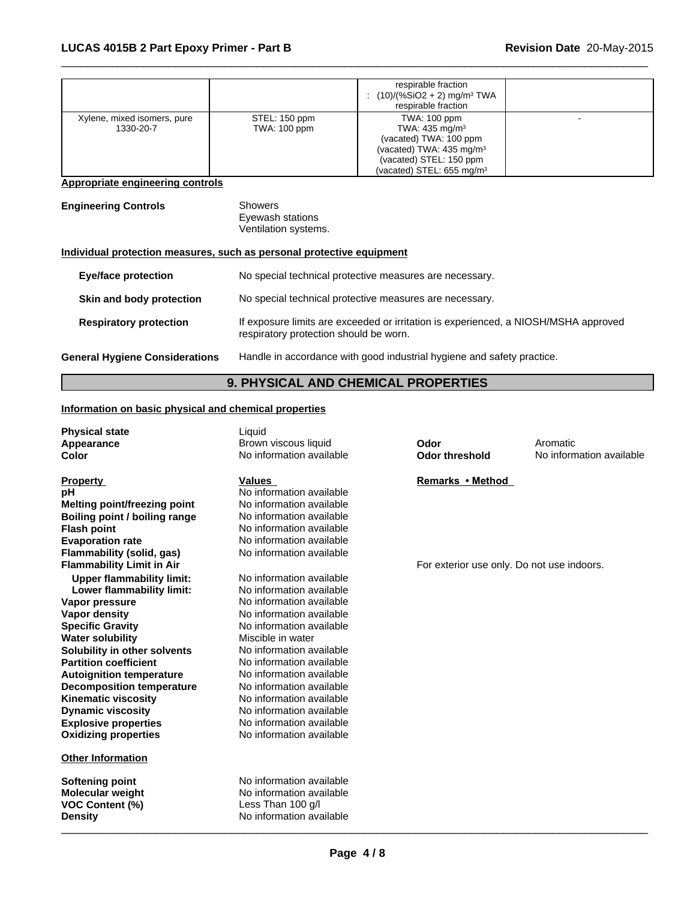|                                          |                                      | respirable fraction<br>$(10)/(%SiO2 + 2)$ mg/m <sup>3</sup> TWA<br>respirable fraction                                                                                         |  |
|------------------------------------------|--------------------------------------|--------------------------------------------------------------------------------------------------------------------------------------------------------------------------------|--|
| Xylene, mixed isomers, pure<br>1330-20-7 | STEL: 150 ppm<br><b>TWA: 100 ppm</b> | TWA: 100 ppm<br>TWA: $435 \text{ mg/m}^3$<br>(vacated) TWA: 100 ppm<br>(vacated) TWA: $435 \text{ mg/m}^3$<br>(vacated) STEL: 150 ppm<br>(vacated) STEL: 655 mg/m <sup>3</sup> |  |

 $\overline{\phantom{a}}$  ,  $\overline{\phantom{a}}$  ,  $\overline{\phantom{a}}$  ,  $\overline{\phantom{a}}$  ,  $\overline{\phantom{a}}$  ,  $\overline{\phantom{a}}$  ,  $\overline{\phantom{a}}$  ,  $\overline{\phantom{a}}$  ,  $\overline{\phantom{a}}$  ,  $\overline{\phantom{a}}$  ,  $\overline{\phantom{a}}$  ,  $\overline{\phantom{a}}$  ,  $\overline{\phantom{a}}$  ,  $\overline{\phantom{a}}$  ,  $\overline{\phantom{a}}$  ,  $\overline{\phantom{a}}$ 

# **Appropriate engineering controls**

# **Engineering Controls** Showers

Eyewash stations Ventilation systems.

#### **Individual protection measures, such as personal protective equipment**

| <b>Eye/face protection</b>            | No special technical protective measures are necessary.                                                                       |
|---------------------------------------|-------------------------------------------------------------------------------------------------------------------------------|
| Skin and body protection              | No special technical protective measures are necessary.                                                                       |
| <b>Respiratory protection</b>         | If exposure limits are exceeded or irritation is experienced, a NIOSH/MSHA approved<br>respiratory protection should be worn. |
| <b>General Hygiene Considerations</b> | Handle in accordance with good industrial hygiene and safety practice.                                                        |

# **9. PHYSICAL AND CHEMICAL PROPERTIES**

#### **Information on basic physical and chemical properties**

| <b>Physical state</b>               | Liquid                   |                                            |                          |
|-------------------------------------|--------------------------|--------------------------------------------|--------------------------|
| Appearance                          | Brown viscous liquid     | Odor                                       | Aromatic                 |
| Color                               | No information available | <b>Odor threshold</b>                      | No information available |
|                                     |                          |                                            |                          |
| <b>Property</b>                     | Values                   | Remarks • Method                           |                          |
| рH                                  | No information available |                                            |                          |
| <b>Melting point/freezing point</b> | No information available |                                            |                          |
| Boiling point / boiling range       | No information available |                                            |                          |
| <b>Flash point</b>                  | No information available |                                            |                          |
| <b>Evaporation rate</b>             | No information available |                                            |                          |
| Flammability (solid, gas)           | No information available |                                            |                          |
| <b>Flammability Limit in Air</b>    |                          | For exterior use only. Do not use indoors. |                          |
| <b>Upper flammability limit:</b>    | No information available |                                            |                          |
| Lower flammability limit:           | No information available |                                            |                          |
| Vapor pressure                      | No information available |                                            |                          |
| <b>Vapor density</b>                | No information available |                                            |                          |
| <b>Specific Gravity</b>             | No information available |                                            |                          |
| <b>Water solubility</b>             | Miscible in water        |                                            |                          |
| Solubility in other solvents        | No information available |                                            |                          |
| <b>Partition coefficient</b>        | No information available |                                            |                          |
| <b>Autoignition temperature</b>     | No information available |                                            |                          |
| <b>Decomposition temperature</b>    | No information available |                                            |                          |
| <b>Kinematic viscosity</b>          | No information available |                                            |                          |
| <b>Dynamic viscosity</b>            | No information available |                                            |                          |
| <b>Explosive properties</b>         | No information available |                                            |                          |
| <b>Oxidizing properties</b>         | No information available |                                            |                          |
|                                     |                          |                                            |                          |
| <b>Other Information</b>            |                          |                                            |                          |
| Softening point                     | No information available |                                            |                          |
| <b>Molecular weight</b>             | No information available |                                            |                          |
| <b>VOC Content (%)</b>              | Less Than 100 g/l        |                                            |                          |
| <b>Density</b>                      | No information available |                                            |                          |
|                                     |                          |                                            |                          |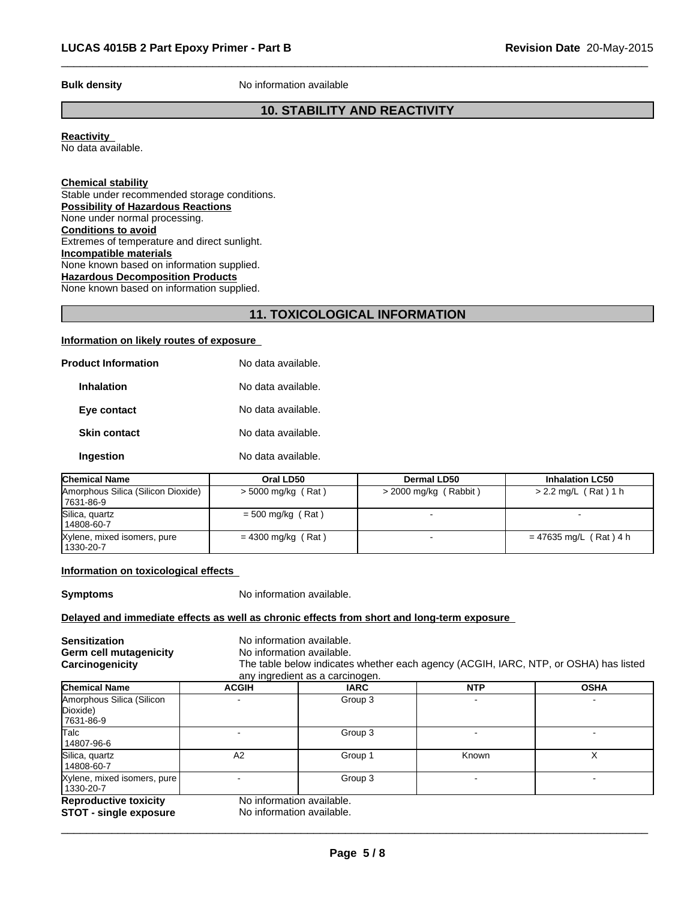**Bulk density** No information available

# **10. STABILITY AND REACTIVITY**

 $\overline{\phantom{a}}$  ,  $\overline{\phantom{a}}$  ,  $\overline{\phantom{a}}$  ,  $\overline{\phantom{a}}$  ,  $\overline{\phantom{a}}$  ,  $\overline{\phantom{a}}$  ,  $\overline{\phantom{a}}$  ,  $\overline{\phantom{a}}$  ,  $\overline{\phantom{a}}$  ,  $\overline{\phantom{a}}$  ,  $\overline{\phantom{a}}$  ,  $\overline{\phantom{a}}$  ,  $\overline{\phantom{a}}$  ,  $\overline{\phantom{a}}$  ,  $\overline{\phantom{a}}$  ,  $\overline{\phantom{a}}$ 

**Reactivity** 

No data available.

#### **Chemical stability**

Stable under recommended storage conditions. **Possibility of Hazardous Reactions** None under normal processing. **Conditions to avoid** Extremes of temperature and direct sunlight. **Incompatible materials** None known based on information supplied. **Hazardous Decomposition Products** None known based on information supplied.

# **11. TOXICOLOGICAL INFORMATION**

#### **Information on likely routes of exposure**

| <b>Product Information</b> |                     | No data available. |
|----------------------------|---------------------|--------------------|
|                            | <b>Inhalation</b>   | No data available. |
|                            | Eye contact         | No data available. |
|                            | <b>Skin contact</b> | No data available. |
|                            | Ingestion           | No data available. |
|                            |                     |                    |

| <b>Chemical Name</b>                             | Oral LD50            | Dermal LD50             | <b>Inhalation LC50</b>   |
|--------------------------------------------------|----------------------|-------------------------|--------------------------|
| Amorphous Silica (Silicon Dioxide)<br>17631-86-9 | $>$ 5000 mg/kg (Rat) | $>$ 2000 mg/kg (Rabbit) | $> 2.2$ mg/L (Rat) 1 h   |
| Silica, quartz<br>14808-60-7                     | $=$ 500 mg/kg (Rat)  |                         |                          |
| Xylene, mixed isomers, pure<br>  1330-20-7       | $= 4300$ mg/kg (Rat) |                         | $= 47635$ mg/L (Rat) 4 h |

#### **Information on toxicological effects**

**Symptoms** No information available.

#### **Delayed and immediate effects as well as chronic effects from short and long-term exposure**

| <b>Sensitization</b><br>Germ cell mutagenicity<br>Carcinogenicity |                                                        | No information available.<br>No information available.<br>The table below indicates whether each agency (ACGIH, IARC, NTP, or OSHA) has listed<br>any ingredient as a carcinogen. |            |             |  |
|-------------------------------------------------------------------|--------------------------------------------------------|-----------------------------------------------------------------------------------------------------------------------------------------------------------------------------------|------------|-------------|--|
| <b>Chemical Name</b>                                              | <b>ACGIH</b>                                           | <b>IARC</b>                                                                                                                                                                       | <b>NTP</b> | <b>OSHA</b> |  |
| Amorphous Silica (Silicon<br>Dioxide)<br>7631-86-9                |                                                        | Group 3                                                                                                                                                                           |            |             |  |
| Talc<br>14807-96-6                                                |                                                        | Group 3                                                                                                                                                                           |            |             |  |
| Silica, quartz<br>14808-60-7                                      | A2                                                     | Group 1                                                                                                                                                                           | Known      | X           |  |
| Xylene, mixed isomers, pure<br>  1330-20-7                        |                                                        | Group 3                                                                                                                                                                           |            |             |  |
| <b>Reproductive toxicity</b><br><b>STOT - single exposure</b>     | No information available.<br>No information available. |                                                                                                                                                                                   |            |             |  |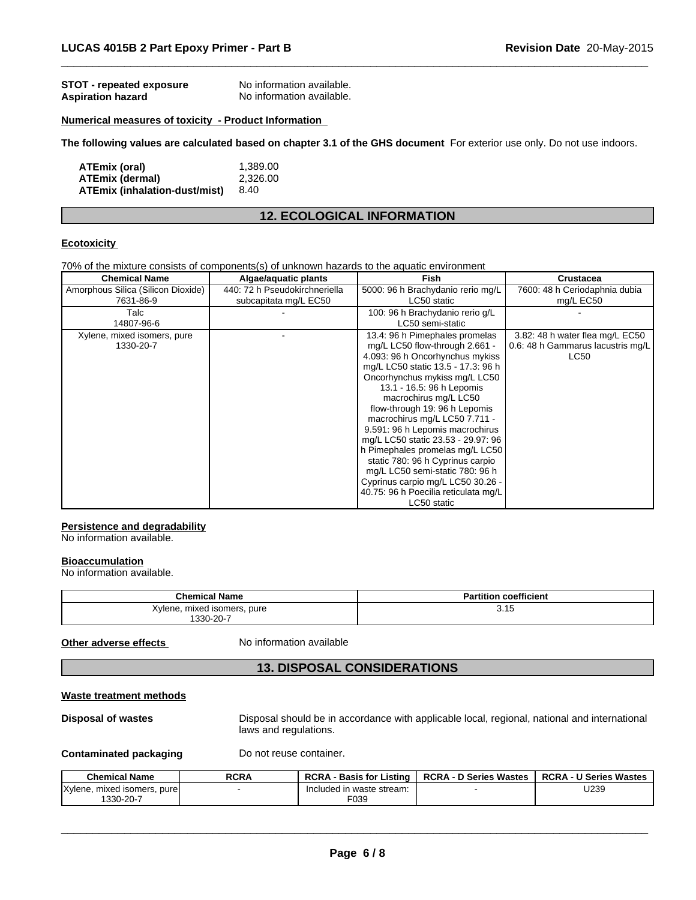| <b>STOT - repeated exposure</b> | No information available. |
|---------------------------------|---------------------------|
| <b>Aspiration hazard</b>        | No information available. |

#### **Numerical measures of toxicity - Product Information**

**The following values are calculated based on chapter 3.1 of the GHS document** For exterior use only. Do not use indoors.

 $\overline{\phantom{a}}$  ,  $\overline{\phantom{a}}$  ,  $\overline{\phantom{a}}$  ,  $\overline{\phantom{a}}$  ,  $\overline{\phantom{a}}$  ,  $\overline{\phantom{a}}$  ,  $\overline{\phantom{a}}$  ,  $\overline{\phantom{a}}$  ,  $\overline{\phantom{a}}$  ,  $\overline{\phantom{a}}$  ,  $\overline{\phantom{a}}$  ,  $\overline{\phantom{a}}$  ,  $\overline{\phantom{a}}$  ,  $\overline{\phantom{a}}$  ,  $\overline{\phantom{a}}$  ,  $\overline{\phantom{a}}$ 

| ATEmix (oral)                        | 1.389.00 |
|--------------------------------------|----------|
| ATEmix (dermal)                      | 2.326.00 |
| <b>ATEmix (inhalation-dust/mist)</b> | 8.40     |

# **12. ECOLOGICAL INFORMATION**

#### **Ecotoxicity**

70% of the mixture consists of components(s) of unknown hazards to the aquatic environment

| <b>Chemical Name</b>                            | Algae/aquatic plants                                   | Fish                                                                                                                                                                                                                                                                                                                                                                                                                                                                                                                                                                              | Crustacea                                                                           |
|-------------------------------------------------|--------------------------------------------------------|-----------------------------------------------------------------------------------------------------------------------------------------------------------------------------------------------------------------------------------------------------------------------------------------------------------------------------------------------------------------------------------------------------------------------------------------------------------------------------------------------------------------------------------------------------------------------------------|-------------------------------------------------------------------------------------|
| Amorphous Silica (Silicon Dioxide)<br>7631-86-9 | 440: 72 h Pseudokirchneriella<br>subcapitata mg/L EC50 | 5000: 96 h Brachydanio rerio mg/L<br>LC50 static                                                                                                                                                                                                                                                                                                                                                                                                                                                                                                                                  | 7600: 48 h Ceriodaphnia dubia<br>mg/L EC50                                          |
| Talc<br>14807-96-6                              |                                                        | 100: 96 h Brachydanio rerio g/L<br>LC50 semi-static                                                                                                                                                                                                                                                                                                                                                                                                                                                                                                                               |                                                                                     |
| Xylene, mixed isomers, pure<br>1330-20-7        |                                                        | 13.4: 96 h Pimephales promelas<br>mg/L LC50 flow-through 2.661 -<br>4.093: 96 h Oncorhynchus mykiss<br>mg/L LC50 static 13.5 - 17.3: 96 h<br>Oncorhynchus mykiss mg/L LC50<br>13.1 - 16.5: 96 h Lepomis<br>macrochirus mg/L LC50<br>flow-through 19: 96 h Lepomis<br>macrochirus mg/L LC50 7.711 -<br>9.591: 96 h Lepomis macrochirus<br>mg/L LC50 static 23.53 - 29.97: 96<br>h Pimephales promelas mg/L LC50<br>static 780: 96 h Cyprinus carpio<br>mg/L LC50 semi-static 780: 96 h<br>Cyprinus carpio mg/L LC50 30.26 -<br>40.75: 96 h Poecilia reticulata mg/L<br>LC50 static | 3.82: 48 h water flea mg/L EC50<br>0.6: 48 h Gammarus lacustris mg/L<br><b>LC50</b> |

#### **Persistence and degradability**

No information available.

#### **Bioaccumulation**

No information available.

| <b>Chemical Name</b>        | <b>Partition coefficient</b> |
|-----------------------------|------------------------------|
| Xylene, mixed isomers, pure | ບ. ເປ                        |
| 1330-20-7                   |                              |

**Other adverse effects** No information available

# **13. DISPOSAL CONSIDERATIONS**

#### **Waste treatment methods**

Disposal of wastes **Disposal should be in accordance with applicable local, regional, national and international** laws and regulations.

 $\overline{\phantom{a}}$  ,  $\overline{\phantom{a}}$  ,  $\overline{\phantom{a}}$  ,  $\overline{\phantom{a}}$  ,  $\overline{\phantom{a}}$  ,  $\overline{\phantom{a}}$  ,  $\overline{\phantom{a}}$  ,  $\overline{\phantom{a}}$  ,  $\overline{\phantom{a}}$  ,  $\overline{\phantom{a}}$  ,  $\overline{\phantom{a}}$  ,  $\overline{\phantom{a}}$  ,  $\overline{\phantom{a}}$  ,  $\overline{\phantom{a}}$  ,  $\overline{\phantom{a}}$  ,  $\overline{\phantom{a}}$ 

# **Contaminated packaging Example 20 Do not reuse container.**

|  | Do not reuse container. |  |  |
|--|-------------------------|--|--|
|--|-------------------------|--|--|

| <b>Chemical Name</b>              | <b>RCRA</b> | <b>RCRA</b><br>⋅ Basis for Listinɑ | <b>RCRA - D Series Wastes</b> | <b>RCRA - U Series Wastes</b> |
|-----------------------------------|-------------|------------------------------------|-------------------------------|-------------------------------|
| Xvlene.<br>mixed isomers.<br>pure |             | Included in waste stream:          |                               | U239                          |
| 1330-20-7                         |             | F039                               |                               |                               |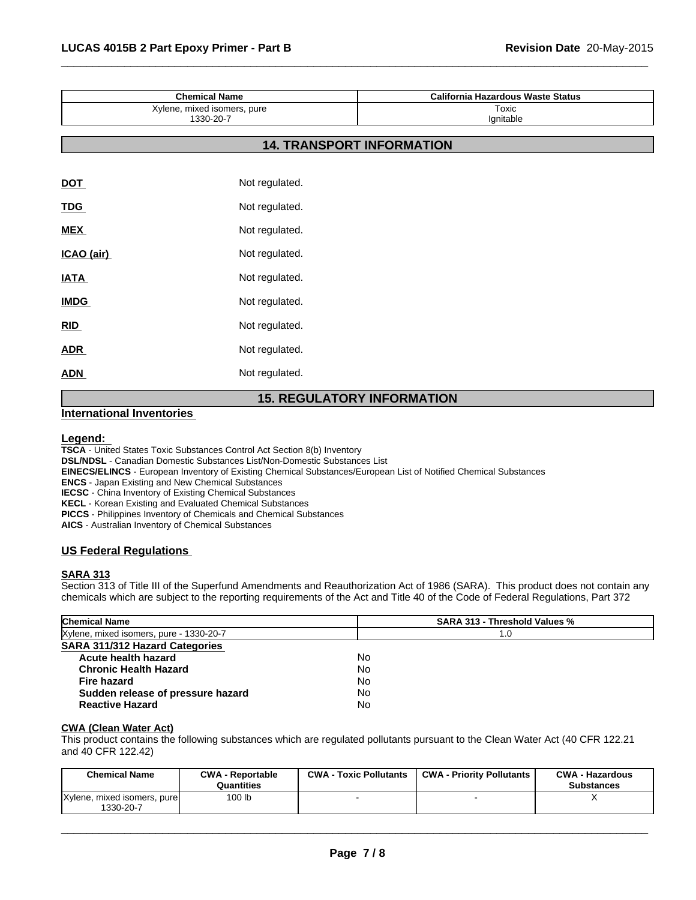|             | <b>Chemical Name</b>                     | <b>California Hazardous Waste Status</b> |
|-------------|------------------------------------------|------------------------------------------|
|             | Xylene, mixed isomers, pure<br>1330-20-7 | Toxic<br>Ignitable                       |
|             | <b>14. TRANSPORT INFORMATION</b>         |                                          |
| <b>DOT</b>  | Not regulated.                           |                                          |
| <b>TDG</b>  | Not regulated.                           |                                          |
| <b>MEX</b>  | Not regulated.                           |                                          |
| ICAO (air)  | Not regulated.                           |                                          |
| <b>IATA</b> | Not regulated.                           |                                          |
| <b>IMDG</b> | Not regulated.                           |                                          |
| RID         | Not regulated.                           |                                          |
| <b>ADR</b>  | Not regulated.                           |                                          |
| <b>ADN</b>  | Not regulated.                           |                                          |
|             | <b>15. REGULATORY INFORMATION</b>        |                                          |

 $\overline{\phantom{a}}$  ,  $\overline{\phantom{a}}$  ,  $\overline{\phantom{a}}$  ,  $\overline{\phantom{a}}$  ,  $\overline{\phantom{a}}$  ,  $\overline{\phantom{a}}$  ,  $\overline{\phantom{a}}$  ,  $\overline{\phantom{a}}$  ,  $\overline{\phantom{a}}$  ,  $\overline{\phantom{a}}$  ,  $\overline{\phantom{a}}$  ,  $\overline{\phantom{a}}$  ,  $\overline{\phantom{a}}$  ,  $\overline{\phantom{a}}$  ,  $\overline{\phantom{a}}$  ,  $\overline{\phantom{a}}$ 

#### **International Inventories**

#### **Legend:**

**TSCA** - United States Toxic Substances Control Act Section 8(b) Inventory

**DSL/NDSL** - Canadian Domestic Substances List/Non-Domestic Substances List

**EINECS/ELINCS** - European Inventory of Existing Chemical Substances/European List of Notified Chemical Substances

**ENCS** - Japan Existing and New Chemical Substances

**IECSC** - China Inventory of Existing Chemical Substances

**KECL** - Korean Existing and Evaluated Chemical Substances

**PICCS** - Philippines Inventory of Chemicals and Chemical Substances

**AICS** - Australian Inventory of Chemical Substances

#### **US Federal Regulations**

#### **SARA 313**

Section 313 of Title III of the Superfund Amendments and Reauthorization Act of 1986 (SARA). This product does not contain any chemicals which are subject to the reporting requirements of the Act and Title 40 of the Code of Federal Regulations, Part 372

| <b>Chemical Name</b>                    | <b>SARA 313 - Threshold Values %</b> |  |
|-----------------------------------------|--------------------------------------|--|
| Xylene, mixed isomers, pure - 1330-20-7 | 1.0                                  |  |
| <b>SARA 311/312 Hazard Categories</b>   |                                      |  |
| Acute health hazard                     | No                                   |  |
| <b>Chronic Health Hazard</b>            | No                                   |  |
| <b>Fire hazard</b>                      | No                                   |  |
| Sudden release of pressure hazard       | No                                   |  |
| <b>Reactive Hazard</b>                  | No                                   |  |

### **CWA (Clean Water Act)**

This product contains the following substances which are regulated pollutants pursuant to the Clean Water Act (40 CFR 122.21 and 40 CFR 122.42)

| <b>Chemical Name</b>                     | <b>CWA - Reportable</b><br>Quantities | <b>CWA - Toxic Pollutants</b> | <b>CWA - Priority Pollutants</b> | <b>CWA - Hazardous</b><br><b>Substances</b> |
|------------------------------------------|---------------------------------------|-------------------------------|----------------------------------|---------------------------------------------|
| Xylene, mixed isomers, pure<br>1330-20-7 | 100 lb                                |                               |                                  |                                             |